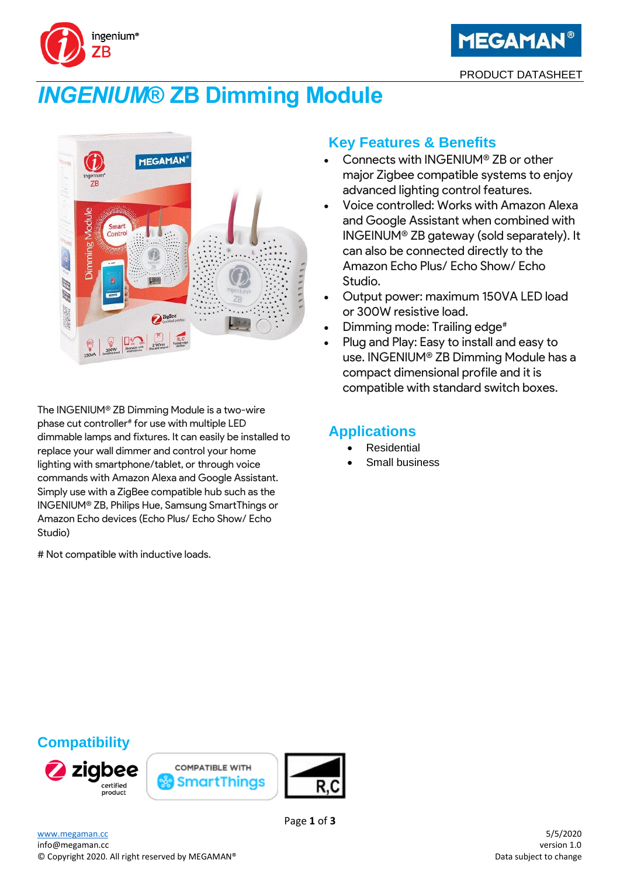



# *INGENIUM***® ZB Dimming Module**



The INGENIUM® ZB Dimming Module is a two-wire phase cut controller<sup>#</sup> for use with multiple LED dimmable lamps and fixtures. It can easily be installed to replace your wall dimmer and control your home lighting with smartphone/tablet, or through voice commands with Amazon Alexa and Google Assistant. Simply use with a ZigBee compatible hub such as the INGENIUM® ZB, Philips Hue, Samsung SmartThings or Amazon Echo devices (Echo Plus/ Echo Show/ Echo Studio)

# Not compatible with inductive loads.

### **Key Features & Benefits**

- Connects with INGENIUM® ZB or other major Zigbee compatible systems to enjoy advanced lighting control features.
- Voice controlled: Works with Amazon Alexa and Google Assistant when combined with INGEINUM® ZB gateway (sold separately). It can also be connected directly to the Amazon Echo Plus/ Echo Show/ Echo Studio.
- Output power: maximum 150VA LED load or 300W resistive load.
- Dimming mode: Trailing edge<sup>#</sup>
- Plug and Play: Easy to install and easy to use. INGENIUM® ZB Dimming Module has a compact dimensional profile and it is compatible with standard switch boxes.

### **Applications**

- **Residential**
- Small business

## **Compatibility**







Page **1** of **3**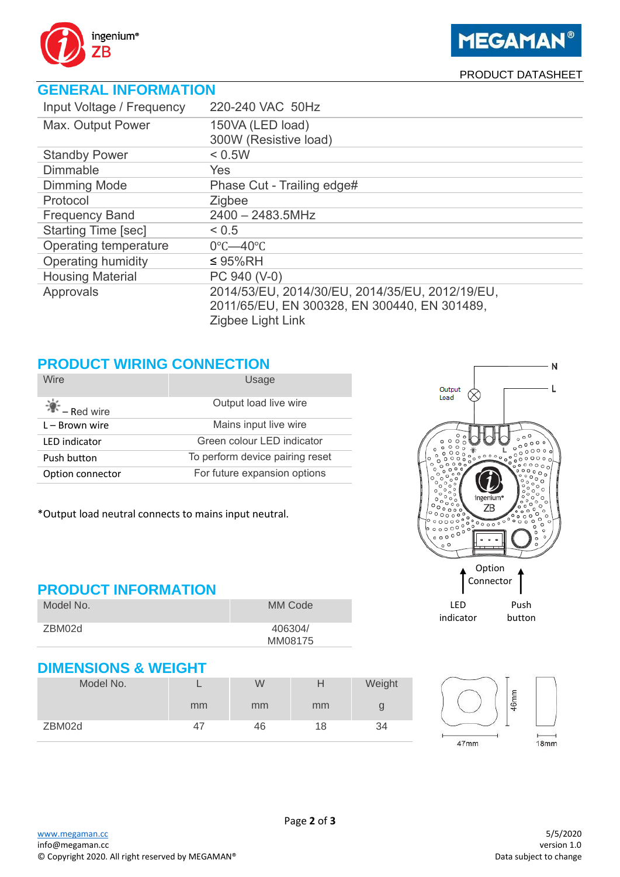

#### PRODUCT DATASHEET

## **GENERAL INFORMATION**

| Input Voltage / Frequency  | 220-240 VAC 50Hz                                |
|----------------------------|-------------------------------------------------|
| Max. Output Power          | 150VA (LED load)                                |
|                            | 300W (Resistive load)                           |
| <b>Standby Power</b>       | < 0.5W                                          |
| <b>Dimmable</b>            | <b>Yes</b>                                      |
| <b>Dimming Mode</b>        | Phase Cut - Trailing edge#                      |
| Protocol                   | Zigbee                                          |
| <b>Frequency Band</b>      | $2400 - 2483.5$ MHz                             |
| <b>Starting Time [sec]</b> | < 0.5                                           |
| Operating temperature      | $0^{\circ}$ C-40 $^{\circ}$ C                   |
| Operating humidity         | $\leq$ 95%RH                                    |
| <b>Housing Material</b>    | PC 940 (V-0)                                    |
| Approvals                  | 2014/53/EU, 2014/30/EU, 2014/35/EU, 2012/19/EU, |
|                            | 2011/65/EU, EN 300328, EN 300440, EN 301489,    |
|                            | Zigbee Light Link                               |

### **PRODUCT WIRING CONNECTION**

| <b>Wire</b>             | Usage                           |
|-------------------------|---------------------------------|
| $\mathbb{R}$ – Red wire | Output load live wire           |
| $L - Brown$ wire        | Mains input live wire           |
| <b>LED</b> indicator    | Green colour LED indicator      |
| Push button             | To perform device pairing reset |
| Option connector        | For future expansion options    |

\*Output load neutral connects to mains input neutral.

#### **PRODUCT INFORMATION**

| Model No. | MM Code |
|-----------|---------|
| ZBM02d    | 406304/ |
|           | MM08175 |



#### **DIMENSIONS & WEIGHT**

| Model No. |    | W  | H  | Weight |
|-----------|----|----|----|--------|
|           | mm | mm | mm | g      |
| ZBM02d    | 47 | 46 | 18 | 34     |